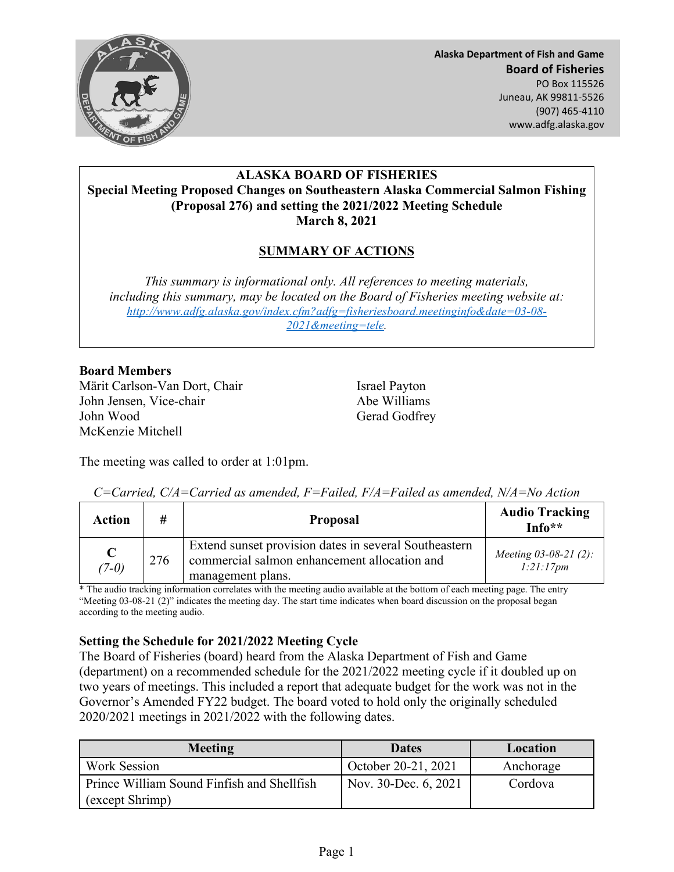

**Alaska Department of Fish and Game Board of Fisheries**  PO Box 115526 Juneau, AK 99811-5526 (907) 465-4110 www.adfg.alaska.gov

### **ALASKA BOARD OF FISHERIES Special Meeting Proposed Changes on Southeastern Alaska Commercial Salmon Fishing (Proposal 276) and setting the 2021/2022 Meeting Schedule March 8, 2021**

# **SUMMARY OF ACTIONS**

*This summary is informational only. All references to meeting materials, including this summary, may be located on the Board of Fisheries meeting website at: [http://www.adfg.alaska.gov/index.cfm?adfg=fisheriesboard.meetinginfo&date=03-08-](http://www.adfg.alaska.gov/index.cfm?adfg=fisheriesboard.meetinginfo&date=03-08-2021&meeting=tele) [2021&meeting=tele.](http://www.adfg.alaska.gov/index.cfm?adfg=fisheriesboard.meetinginfo&date=03-08-2021&meeting=tele)* 

## **Board Members**

Märit Carlson-Van Dort, Chair **Israel Payton** John Jensen, Vice-chair Abe Williams John Wood Gerad Godfrey McKenzie Mitchell

The meeting was called to order at 1:01pm.

| <b>Action</b>          | #   | <b>Proposal</b>                                                                                                            | <b>Audio Tracking</b><br>$Info**$    |
|------------------------|-----|----------------------------------------------------------------------------------------------------------------------------|--------------------------------------|
| $\mathbf C$<br>$(7-0)$ | 276 | Extend sunset provision dates in several Southeastern<br>commercial salmon enhancement allocation and<br>management plans. | Meeting $03-08-21$ (2):<br>1:21:17pm |

*C=Carried, C/A=Carried as amended, F=Failed, F/A=Failed as amended, N/A=No Action*

\* The audio tracking information correlates with the meeting audio available at the bottom of each meeting page. The entry "Meeting 03-08-21 (2)" indicates the meeting day. The start time indicates when board discussion on the proposal began according to the meeting audio.

## **Setting the Schedule for 2021/2022 Meeting Cycle**

The Board of Fisheries (board) heard from the Alaska Department of Fish and Game (department) on a recommended schedule for the 2021/2022 meeting cycle if it doubled up on two years of meetings. This included a report that adequate budget for the work was not in the Governor's Amended FY22 budget. The board voted to hold only the originally scheduled 2020/2021 meetings in 2021/2022 with the following dates.

| <b>Meeting</b>                             | <b>Dates</b>         | Location  |
|--------------------------------------------|----------------------|-----------|
| <b>Work Session</b>                        | October 20-21, 2021  | Anchorage |
| Prince William Sound Finfish and Shellfish | Nov. 30-Dec. 6, 2021 | Cordova   |
| (except Shrimp)                            |                      |           |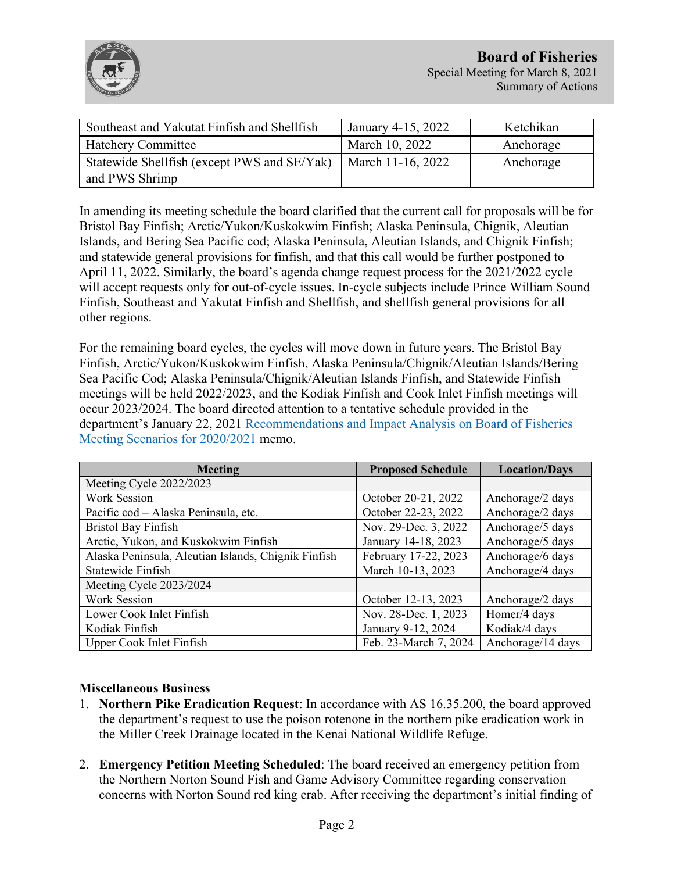

| Southeast and Yakutat Finfish and Shellfish | January 4-15, 2022 | Ketchikan |
|---------------------------------------------|--------------------|-----------|
| <b>Hatchery Committee</b>                   | March 10, 2022     | Anchorage |
| Statewide Shellfish (except PWS and SE/Yak) | March 11-16, 2022  | Anchorage |
| and PWS Shrimp                              |                    |           |

In amending its meeting schedule the board clarified that the current call for proposals will be for Bristol Bay Finfish; Arctic/Yukon/Kuskokwim Finfish; Alaska Peninsula, Chignik, Aleutian Islands, and Bering Sea Pacific cod; Alaska Peninsula, Aleutian Islands, and Chignik Finfish; and statewide general provisions for finfish, and that this call would be further postponed to April 11, 2022. Similarly, the board's agenda change request process for the 2021/2022 cycle will accept requests only for out-of-cycle issues. In-cycle subjects include Prince William Sound Finfish, Southeast and Yakutat Finfish and Shellfish, and shellfish general provisions for all other regions.

For the remaining board cycles, the cycles will move down in future years. The Bristol Bay Finfish, Arctic/Yukon/Kuskokwim Finfish, Alaska Peninsula/Chignik/Aleutian Islands/Bering Sea Pacific Cod; Alaska Peninsula/Chignik/Aleutian Islands Finfish, and Statewide Finfish meetings will be held 2022/2023, and the Kodiak Finfish and Cook Inlet Finfish meetings will occur 2023/2024. The board directed attention to a tentative schedule provided in the department's January 22, 2021 [Recommendations and Impact Analysis on Board of Fisheries](http://www.adfg.alaska.gov/static/regulations/regprocess/fisheriesboard/pdfs/2020-2021/jan/memo.pdf)  [Meeting Scenarios for 2020/2021](http://www.adfg.alaska.gov/static/regulations/regprocess/fisheriesboard/pdfs/2020-2021/jan/memo.pdf) memo.

| <b>Meeting</b>                                      | <b>Proposed Schedule</b> | <b>Location/Days</b> |
|-----------------------------------------------------|--------------------------|----------------------|
| Meeting Cycle 2022/2023                             |                          |                      |
| Work Session                                        | October 20-21, 2022      | Anchorage/2 days     |
| Pacific cod - Alaska Peninsula, etc.                | October 22-23, 2022      | Anchorage/2 days     |
| <b>Bristol Bay Finfish</b>                          | Nov. 29-Dec. 3, 2022     | Anchorage/5 days     |
| Arctic, Yukon, and Kuskokwim Finfish                | January 14-18, 2023      | Anchorage/5 days     |
| Alaska Peninsula, Aleutian Islands, Chignik Finfish | February 17-22, 2023     | Anchorage/6 days     |
| Statewide Finfish                                   | March 10-13, 2023        | Anchorage/4 days     |
| Meeting Cycle 2023/2024                             |                          |                      |
| Work Session                                        | October 12-13, 2023      | Anchorage/2 days     |
| Lower Cook Inlet Finfish                            | Nov. 28-Dec. 1, 2023     | Homer/4 days         |
| Kodiak Finfish                                      | January 9-12, 2024       | Kodiak/4 days        |
| Upper Cook Inlet Finfish                            | Feb. 23-March 7, 2024    | Anchorage/14 days    |

## **Miscellaneous Business**

- 1. **Northern Pike Eradication Request**: In accordance with AS 16.35.200, the board approved the department's request to use the poison rotenone in the northern pike eradication work in the Miller Creek Drainage located in the Kenai National Wildlife Refuge.
- 2. **Emergency Petition Meeting Scheduled**: The board received an emergency petition from the Northern Norton Sound Fish and Game Advisory Committee regarding conservation concerns with Norton Sound red king crab. After receiving the department's initial finding of